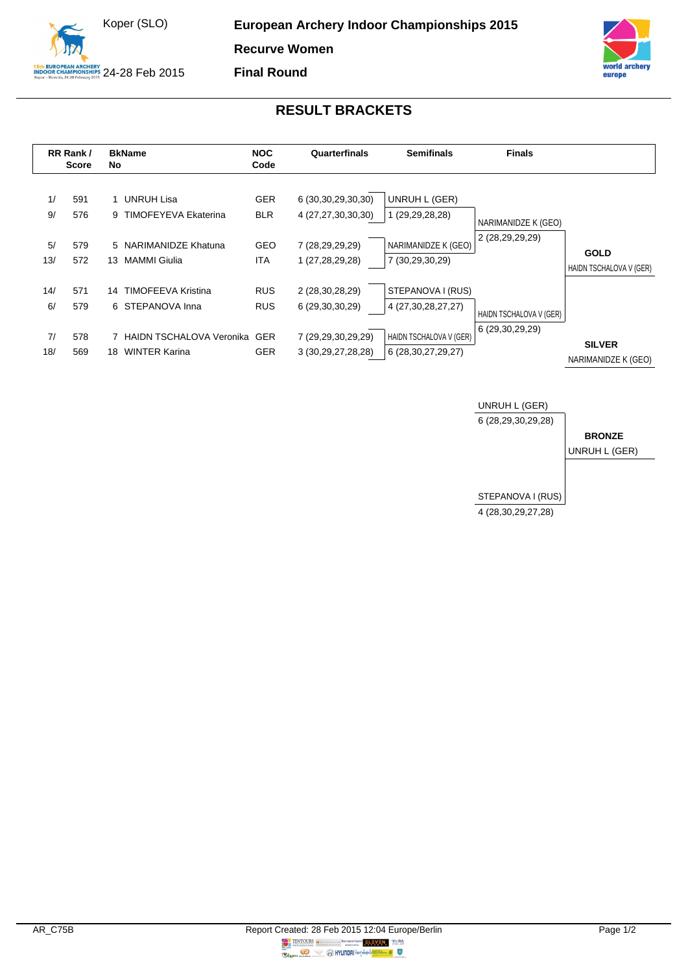



## **RESULT BRACKETS**

**Final Round**